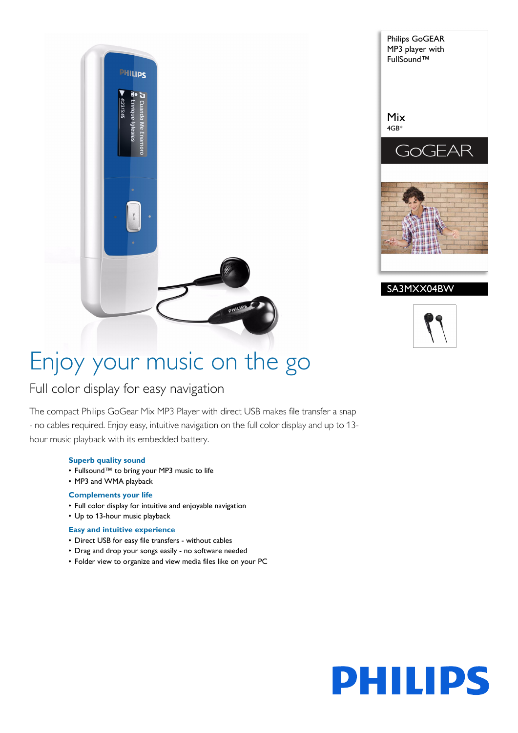



# Enjoy your music on the go

# Full color display for easy navigation

The compact Philips GoGear Mix MP3 Player with direct USB makes file transfer a snap - no cables required. Enjoy easy, intuitive navigation on the full color display and up to 13 hour music playback with its embedded battery.

### **Superb quality sound**

- Fullsound™ to bring your MP3 music to life
- MP3 and WMA playback

### **Complements your life**

- Full color display for intuitive and enjoyable navigation
- Up to 13-hour music playback

# **Easy and intuitive experience**

- Direct USB for easy file transfers without cables
- Drag and drop your songs easily no software needed
- Folder view to organize and view media files like on your PC

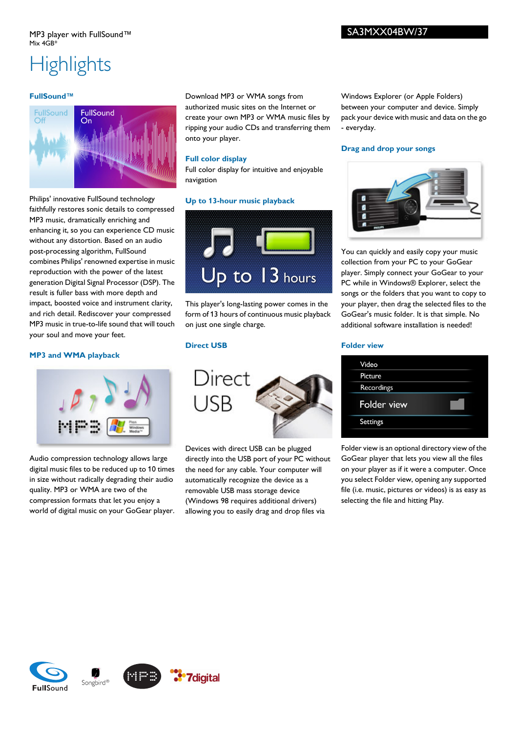# **Highlights**

### **FullSound™**



Philips' innovative FullSound technology faithfully restores sonic details to compressed MP3 music, dramatically enriching and enhancing it, so you can experience CD music without any distortion. Based on an audio post-processing algorithm, FullSound combines Philips' renowned expertise in music reproduction with the power of the latest generation Digital Signal Processor (DSP). The result is fuller bass with more depth and impact, boosted voice and instrument clarity, and rich detail. Rediscover your compressed MP3 music in true-to-life sound that will touch your soul and move your feet.

## **MP3 and WMA playback**



Audio compression technology allows large digital music files to be reduced up to 10 times in size without radically degrading their audio quality. MP3 or WMA are two of the compression formats that let you enjoy a world of digital music on your GoGear player.

Download MP3 or WMA songs from authorized music sites on the Internet or create your own MP3 or WMA music files by ripping your audio CDs and transferring them onto your player.

Full color display for intuitive and enjoyable

**Up to 13-hour music playback**

Windows Explorer (or Apple Folders) between your computer and device. Simply pack your device with music and data on the go - everyday.

### **Drag and drop your songs**



You can quickly and easily copy your music collection from your PC to your GoGear player. Simply connect your GoGear to your PC while in Windows® Explorer, select the songs or the folders that you want to copy to your player, then drag the selected files to the GoGear's music folder. It is that simple. No additional software installation is needed!

## **Direct USB**

on just one single charge.

**Full color display**

navigation



This player's long-lasting power comes in the form of 13 hours of continuous music playback

Up to 13 hours

Devices with direct USB can be plugged directly into the USB port of your PC without the need for any cable. Your computer will automatically recognize the device as a removable USB mass storage device (Windows 98 requires additional drivers) allowing you to easily drag and drop files via

#### **Folder view**

Folder view is an optional directory view of the GoGear player that lets you view all the files on your player as if it were a computer. Once you select Folder view, opening any supported file (i.e. music, pictures or videos) is as easy as selecting the file and hitting Play.

SA3MXX04BW/37